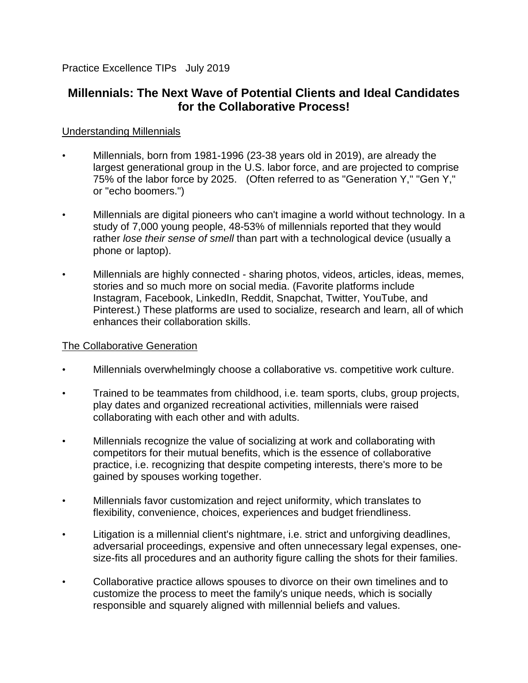Practice Excellence TIPs July 2019

## **Millennials: The Next Wave of Potential Clients and Ideal Candidates for the Collaborative Process!**

## Understanding Millennials

- Millennials, born from 1981-1996 (23-38 years old in 2019), are already the largest generational group in the U.S. labor force, and are projected to comprise 75% of the labor force by 2025. (Often referred to as "Generation Y," "Gen Y," or "echo boomers.")
- Millennials are digital pioneers who can't imagine a world without technology. In a study of 7,000 young people, 48-53% of millennials reported that they would rather *lose their sense of smell* than part with a technological device (usually a phone or laptop).
- Millennials are highly connected sharing photos, videos, articles, ideas, memes, stories and so much more on social media. (Favorite platforms include Instagram, Facebook, LinkedIn, Reddit, Snapchat, Twitter, YouTube, and Pinterest.) These platforms are used to socialize, research and learn, all of which enhances their collaboration skills.

## The Collaborative Generation

- Millennials overwhelmingly choose a collaborative vs. competitive work culture.
- Trained to be teammates from childhood, i.e. team sports, clubs, group projects, play dates and organized recreational activities, millennials were raised collaborating with each other and with adults.
- Millennials recognize the value of socializing at work and collaborating with competitors for their mutual benefits, which is the essence of collaborative practice, i.e. recognizing that despite competing interests, there's more to be gained by spouses working together.
- Millennials favor customization and reject uniformity, which translates to flexibility, convenience, choices, experiences and budget friendliness.
- Litigation is a millennial client's nightmare, i.e. strict and unforgiving deadlines, adversarial proceedings, expensive and often unnecessary legal expenses, onesize-fits all procedures and an authority figure calling the shots for their families.
- Collaborative practice allows spouses to divorce on their own timelines and to customize the process to meet the family's unique needs, which is socially responsible and squarely aligned with millennial beliefs and values.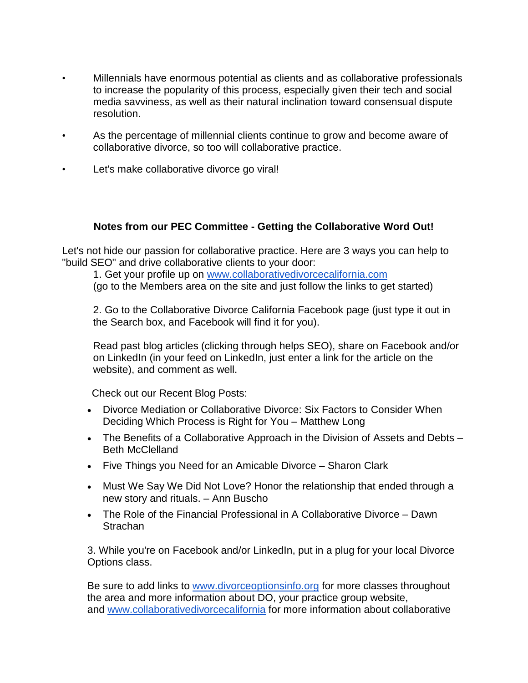- Millennials have enormous potential as clients and as collaborative professionals to increase the popularity of this process, especially given their tech and social media savviness, as well as their natural inclination toward consensual dispute resolution.
- As the percentage of millennial clients continue to grow and become aware of collaborative divorce, so too will collaborative practice.
- Let's make collaborative divorce go viral!

## **Notes from our PEC Committee - Getting the Collaborative Word Out!**

Let's not hide our passion for collaborative practice. Here are 3 ways you can help to "build SEO" and drive collaborative clients to your door:

1. Get your profile up on [www.collaborativedivorcecalifornia.com](http://www.collaborativedivorcecalifornia.com/) (go to the Members area on the site and just follow the links to get started)

2. Go to the Collaborative Divorce California Facebook page (just type it out in the Search box, and Facebook will find it for you).

Read past blog articles (clicking through helps SEO), share on Facebook and/or on LinkedIn (in your feed on LinkedIn, just enter a link for the article on the website), and comment as well.

Check out our Recent Blog Posts:

- Divorce Mediation or Collaborative Divorce: Six Factors to Consider When Deciding Which Process is Right for You – Matthew Long
- The Benefits of a Collaborative Approach in the Division of Assets and Debts Beth McClelland
- Five Things you Need for an Amicable Divorce Sharon Clark
- Must We Say We Did Not Love? Honor the relationship that ended through a new story and rituals. – Ann Buscho
- The Role of the Financial Professional in A Collaborative Divorce Dawn **Strachan**

3. While you're on Facebook and/or LinkedIn, put in a plug for your local Divorce Options class.

Be sure to add links to [www.divorceoptionsinfo.org](http://www.divorceoptionsinfo.org/) for more classes throughout the area and more information about DO, your practice group website, and [www.collaborativedivorcecalifornia](http://www.collaborativedivorcecalifornia/) for more information about collaborative